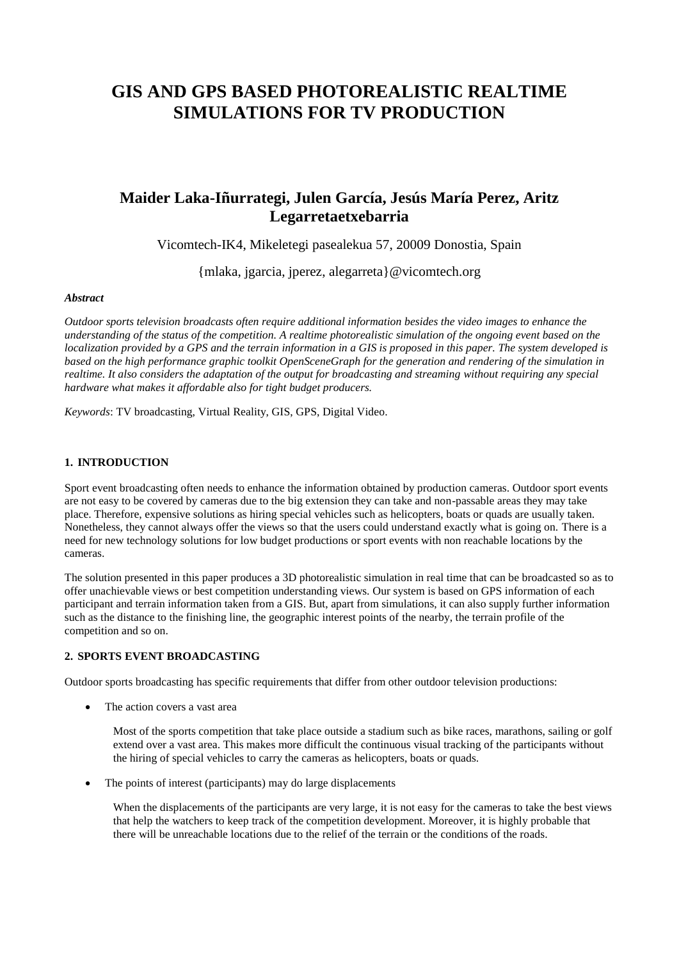# **GIS AND GPS BASED PHOTOREALISTIC REALTIME SIMULATIONS FOR TV PRODUCTION**

## **Maider Laka-Iñurrategi, Julen García, Jesús María Perez, Aritz Legarretaetxebarria**

Vicomtech-IK4, Mikeletegi pasealekua 57, 20009 Donostia, Spain

{mlaka, jgarcia, jperez, alegarreta}@vicomtech.org

#### *Abstract*

*Outdoor sports television broadcasts often require additional information besides the video images to enhance the understanding of the status of the competition. A realtime photorealistic simulation of the ongoing event based on the localization provided by a GPS and the terrain information in a GIS is proposed in this paper. The system developed is based on the high performance graphic toolkit OpenSceneGraph for the generation and rendering of the simulation in realtime. It also considers the adaptation of the output for broadcasting and streaming without requiring any special hardware what makes it affordable also for tight budget producers.* 

*Keywords*: TV broadcasting, Virtual Reality, GIS, GPS, Digital Video.

## **1. INTRODUCTION**

Sport event broadcasting often needs to enhance the information obtained by production cameras. Outdoor sport events are not easy to be covered by cameras due to the big extension they can take and non-passable areas they may take place. Therefore, expensive solutions as hiring special vehicles such as helicopters, boats or quads are usually taken. Nonetheless, they cannot always offer the views so that the users could understand exactly what is going on. There is a need for new technology solutions for low budget productions or sport events with non reachable locations by the cameras.

The solution presented in this paper produces a 3D photorealistic simulation in real time that can be broadcasted so as to offer unachievable views or best competition understanding views. Our system is based on GPS information of each participant and terrain information taken from a GIS. But, apart from simulations, it can also supply further information such as the distance to the finishing line, the geographic interest points of the nearby, the terrain profile of the competition and so on.

## **2. SPORTS EVENT BROADCASTING**

Outdoor sports broadcasting has specific requirements that differ from other outdoor television productions:

The action covers a vast area

Most of the sports competition that take place outside a stadium such as bike races, marathons, sailing or golf extend over a vast area. This makes more difficult the continuous visual tracking of the participants without the hiring of special vehicles to carry the cameras as helicopters, boats or quads.

The points of interest (participants) may do large displacements

When the displacements of the participants are very large, it is not easy for the cameras to take the best views that help the watchers to keep track of the competition development. Moreover, it is highly probable that there will be unreachable locations due to the relief of the terrain or the conditions of the roads.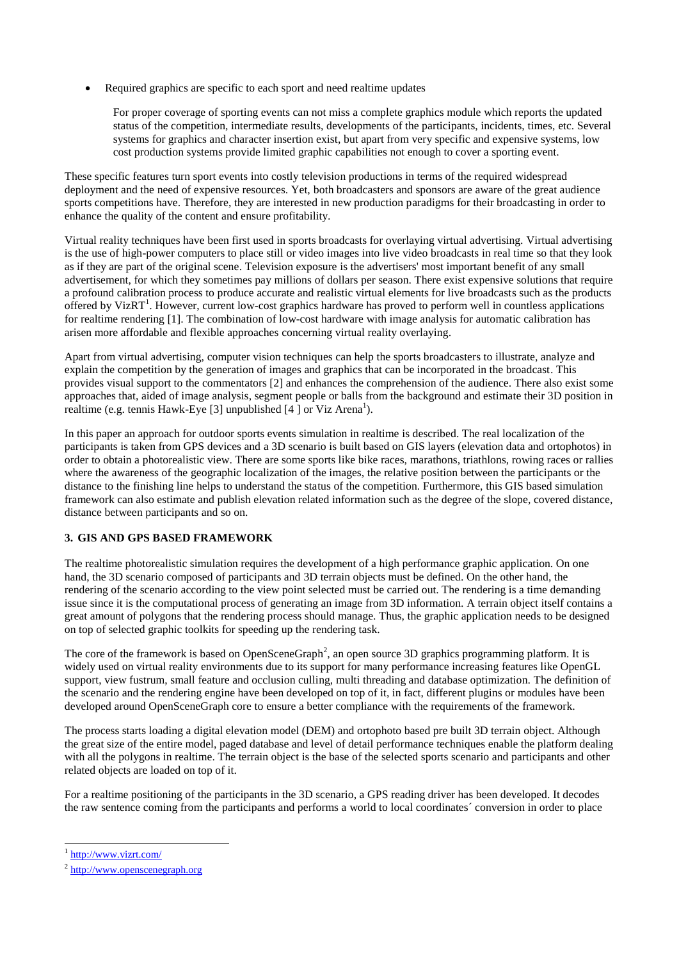Required graphics are specific to each sport and need realtime updates

For proper coverage of sporting events can not miss a complete graphics module which reports the updated status of the competition, intermediate results, developments of the participants, incidents, times, etc. Several systems for graphics and character insertion exist, but apart from very specific and expensive systems, low cost production systems provide limited graphic capabilities not enough to cover a sporting event.

These specific features turn sport events into costly television productions in terms of the required widespread deployment and the need of expensive resources. Yet, both broadcasters and sponsors are aware of the great audience sports competitions have. Therefore, they are interested in new production paradigms for their broadcasting in order to enhance the quality of the content and ensure profitability.

Virtual reality techniques have been first used in sports broadcasts for overlaying virtual advertising. Virtual advertising is the use of high-power computers to place still or video images into live video broadcasts in real time so that they look as if they are part of the original scene. Television exposure is the advertisers' most important benefit of any small advertisement, for which they sometimes pay millions of dollars per season. There exist expensive solutions that require a profound calibration process to produce accurate and realistic virtual elements for live broadcasts such as the products offered by VizRT<sup>1</sup>. However, current low-cost graphics hardware has proved to perform well in countless applications for realtime rendering [1]. The combination of low-cost hardware with image analysis for automatic calibration has arisen more affordable and flexible approaches concerning virtual reality overlaying.

Apart from virtual advertising, computer vision techniques can help the sports broadcasters to illustrate, analyze and explain the competition by the generation of images and graphics that can be incorporated in the broadcast. This provides visual support to the commentators [2] and enhances the comprehension of the audience. There also exist some approaches that, aided of image analysis, segment people or balls from the background and estimate their 3D position in realtime (e.g. tennis Hawk-Eye [3] unpublished [4] or Viz Arena<sup>1</sup>).

In this paper an approach for outdoor sports events simulation in realtime is described. The real localization of the participants is taken from GPS devices and a 3D scenario is built based on GIS layers (elevation data and ortophotos) in order to obtain a photorealistic view. There are some sports like bike races, marathons, triathlons, rowing races or rallies where the awareness of the geographic localization of the images, the relative position between the participants or the distance to the finishing line helps to understand the status of the competition. Furthermore, this GIS based simulation framework can also estimate and publish elevation related information such as the degree of the slope, covered distance, distance between participants and so on.

## **3. GIS AND GPS BASED FRAMEWORK**

The realtime photorealistic simulation requires the development of a high performance graphic application. On one hand, the 3D scenario composed of participants and 3D terrain objects must be defined. On the other hand, the rendering of the scenario according to the view point selected must be carried out. The rendering is a time demanding issue since it is the computational process of generating an image from 3D information. A terrain object itself contains a great amount of polygons that the rendering process should manage. Thus, the graphic application needs to be designed on top of selected graphic toolkits for speeding up the rendering task.

The core of the framework is based on OpenSceneGraph<sup>2</sup>, an open source 3D graphics programming platform. It is widely used on virtual reality environments due to its support for many performance increasing features like OpenGL support, view fustrum, small feature and occlusion culling, multi threading and database optimization. The definition of the scenario and the rendering engine have been developed on top of it, in fact, different plugins or modules have been developed around OpenSceneGraph core to ensure a better compliance with the requirements of the framework.

The process starts loading a digital elevation model (DEM) and ortophoto based pre built 3D terrain object. Although the great size of the entire model, paged database and level of detail performance techniques enable the platform dealing with all the polygons in realtime. The terrain object is the base of the selected sports scenario and participants and other related objects are loaded on top of it.

For a realtime positioning of the participants in the 3D scenario, a GPS reading driver has been developed. It decodes the raw sentence coming from the participants and performs a world to local coordinates´ conversion in order to place

-

<sup>1</sup> <http://www.vizrt.com/>

<sup>&</sup>lt;sup>2</sup> [http://www.openscenegraph.org](http://www.openscenegraph.org/)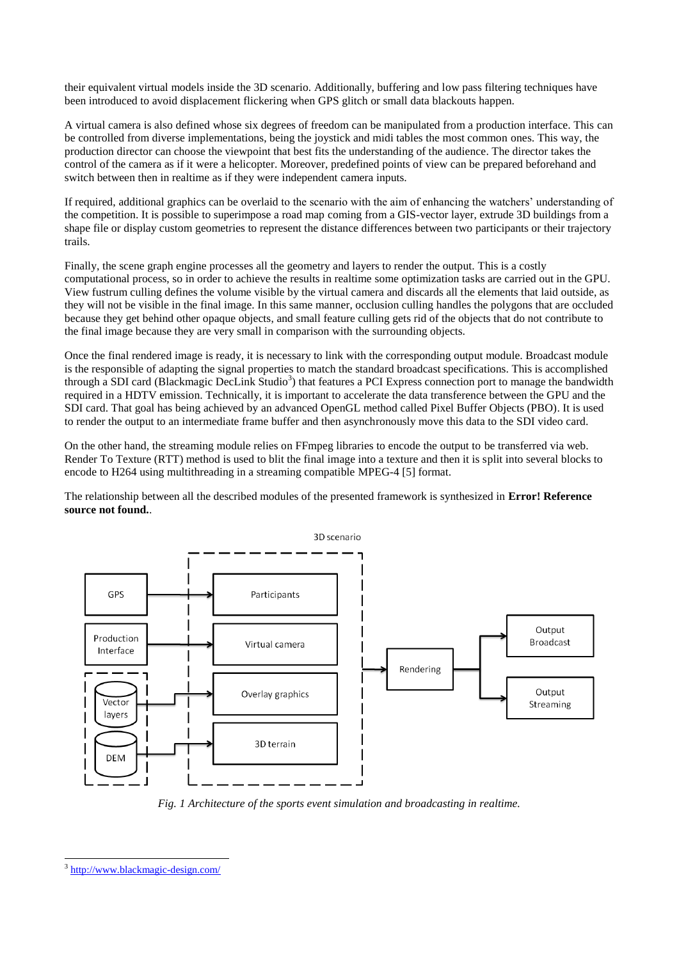their equivalent virtual models inside the 3D scenario. Additionally, buffering and low pass filtering techniques have been introduced to avoid displacement flickering when GPS glitch or small data blackouts happen.

A virtual camera is also defined whose six degrees of freedom can be manipulated from a production interface. This can be controlled from diverse implementations, being the joystick and midi tables the most common ones. This way, the production director can choose the viewpoint that best fits the understanding of the audience. The director takes the control of the camera as if it were a helicopter. Moreover, predefined points of view can be prepared beforehand and switch between then in realtime as if they were independent camera inputs.

If required, additional graphics can be overlaid to the scenario with the aim of enhancing the watchers' understanding of the competition. It is possible to superimpose a road map coming from a GIS-vector layer, extrude 3D buildings from a shape file or display custom geometries to represent the distance differences between two participants or their trajectory trails.

Finally, the scene graph engine processes all the geometry and layers to render the output. This is a costly computational process, so in order to achieve the results in realtime some optimization tasks are carried out in the GPU. View fustrum culling defines the volume visible by the virtual camera and discards all the elements that laid outside, as they will not be visible in the final image. In this same manner, occlusion culling handles the polygons that are occluded because they get behind other opaque objects, and small feature culling gets rid of the objects that do not contribute to the final image because they are very small in comparison with the surrounding objects.

Once the final rendered image is ready, it is necessary to link with the corresponding output module. Broadcast module is the responsible of adapting the signal properties to match the standard broadcast specifications. This is accomplished through a SDI card (Blackmagic DecLink Studio<sup>3</sup>) that features a PCI Express connection port to manage the bandwidth required in a HDTV emission. Technically, it is important to accelerate the data transference between the GPU and the SDI card. That goal has being achieved by an advanced OpenGL method called Pixel Buffer Objects (PBO). It is used to render the output to an intermediate frame buffer and then asynchronously move this data to the SDI video card.

On the other hand, the streaming module relies on FFmpeg libraries to encode the output to be transferred via web. Render To Texture (RTT) method is used to blit the final image into a texture and then it is split into several blocks to encode to H264 using multithreading in a streaming compatible MPEG-4 [5] format.

The relationship between all the described modules of the presented framework is synthesized in **Error! Reference source not found.**.



*Fig. 1 Architecture of the sports event simulation and broadcasting in realtime.*

-

<sup>3</sup> <http://www.blackmagic-design.com/>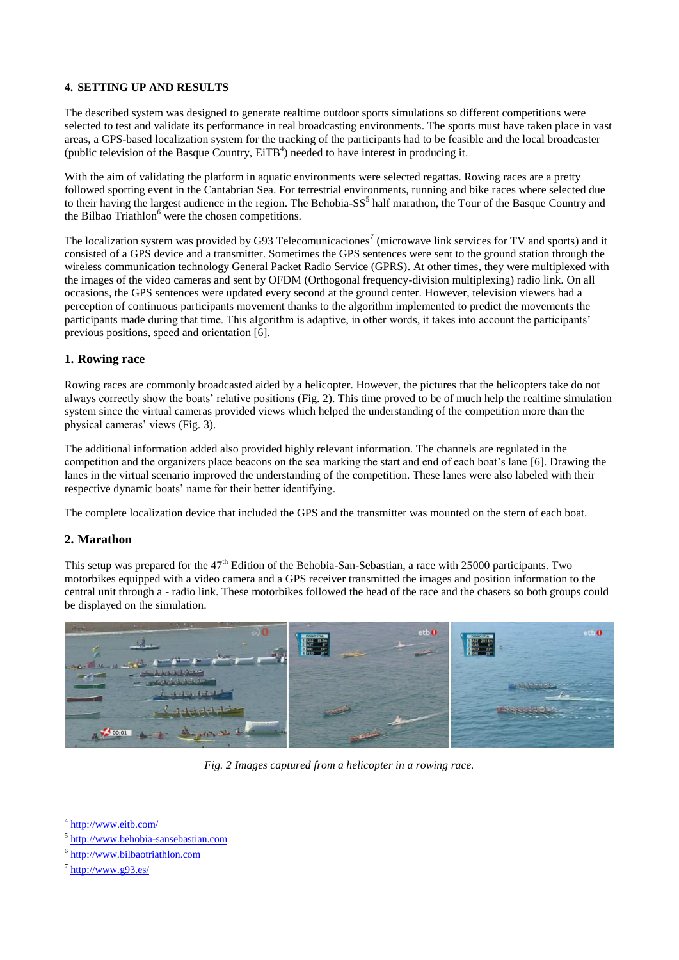#### **4. SETTING UP AND RESULTS**

The described system was designed to generate realtime outdoor sports simulations so different competitions were selected to test and validate its performance in real broadcasting environments. The sports must have taken place in vast areas, a GPS-based localization system for the tracking of the participants had to be feasible and the local broadcaster (public television of the Basque Country,  $E_i T B<sup>4</sup>$ ) needed to have interest in producing it.

With the aim of validating the platform in aquatic environments were selected regattas. Rowing races are a pretty followed sporting event in the Cantabrian Sea. For terrestrial environments, running and bike races where selected due to their having the largest audience in the region. The Behobia-SS<sup>5</sup> half marathon, the Tour of the Basque Country and the Bilbao  $Triathlon<sup>6</sup>$  were the chosen competitions.

The localization system was provided by G93 Telecomunicaciones<sup>7</sup> (microwave link services for TV and sports) and it consisted of a GPS device and a transmitter. Sometimes the GPS sentences were sent to the ground station through the wireless communication technology General Packet Radio Service (GPRS). At other times, they were multiplexed with the images of the video cameras and sent by OFDM (Orthogonal frequency-division multiplexing) radio link. On all occasions, the GPS sentences were updated every second at the ground center. However, television viewers had a perception of continuous participants movement thanks to the algorithm implemented to predict the movements the participants made during that time. This algorithm is adaptive, in other words, it takes into account the participants' previous positions, speed and orientation [6].

## **1. Rowing race**

Rowing races are commonly broadcasted aided by a helicopter. However, the pictures that the helicopters take do not always correctly show the boats' relative positions [\(Fig. 2\)](#page-3-0). This time proved to be of much help the realtime simulation system since the virtual cameras provided views which helped the understanding of the competition more than the physical cameras' views [\(Fig. 3\)](#page-4-0).

The additional information added also provided highly relevant information. The channels are regulated in the competition and the organizers place beacons on the sea marking the start and end of each boat's lane [6]. Drawing the lanes in the virtual scenario improved the understanding of the competition. These lanes were also labeled with their respective dynamic boats' name for their better identifying.

The complete localization device that included the GPS and the transmitter was mounted on the stern of each boat.

## **2. Marathon**

This setup was prepared for the 47<sup>th</sup> Edition of the Behobia-San-Sebastian, a race with 25000 participants. Two motorbikes equipped with a video camera and a GPS receiver transmitted the images and position information to the central unit through a - radio link. These motorbikes followed the head of the race and the chasers so both groups could be displayed on the simulation.



*Fig. 2 Images captured from a helicopter in a rowing race.*

<span id="page-3-0"></span><sup>-</sup>4 <http://www.eitb.com/>

<sup>&</sup>lt;sup>5</sup> [http://www.behobia-sansebastian.com](http://www.behobia-sansebastian.com/)

<sup>6</sup> [http://www.bilbaotriathlon.com](http://www.bilbaotriathlon.com/)

 $7$  <http://www.g93.es/>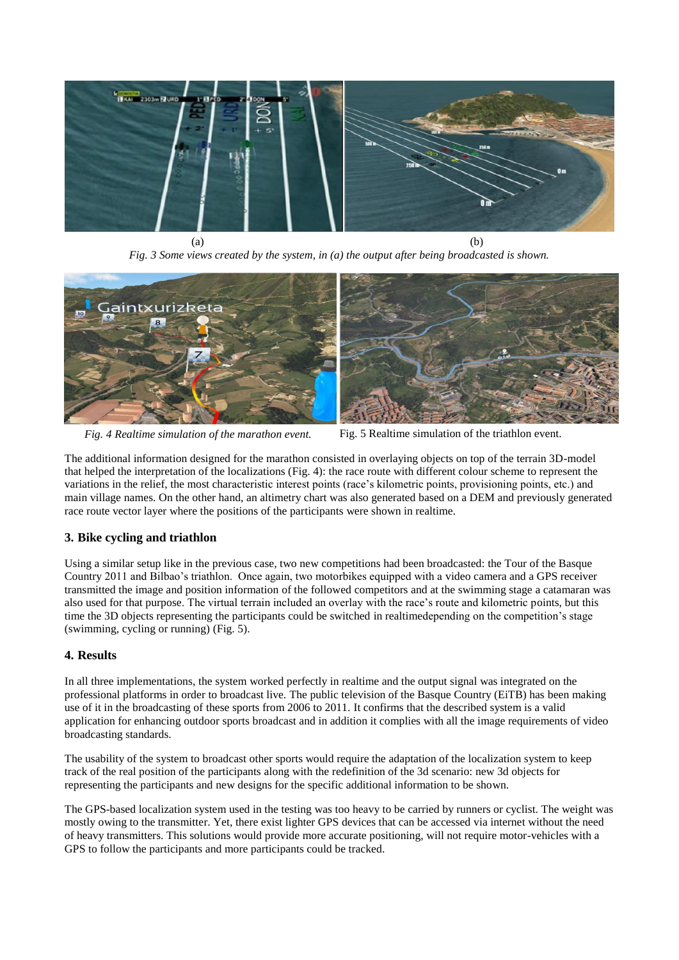

 $(a)$  (b) *Fig. 3 Some views created by the system, in (a) the output after being broadcasted is shown.*

<span id="page-4-0"></span>

*Fig. 4 Realtime simulation of the marathon event.* Fig. 5 Realtime simulation of the triathlon event.

<span id="page-4-2"></span>

<span id="page-4-1"></span>The additional information designed for the marathon consisted in overlaying objects on top of the terrain 3D-model that helped the interpretation of the localizations [\(Fig. 4\)](#page-4-1): the race route with different colour scheme to represent the variations in the relief, the most characteristic interest points (race's kilometric points, provisioning points, etc.) and main village names. On the other hand, an altimetry chart was also generated based on a DEM and previously generated race route vector layer where the positions of the participants were shown in realtime.

## **3. Bike cycling and triathlon**

Using a similar setup like in the previous case, two new competitions had been broadcasted: the Tour of the Basque Country 2011 and Bilbao's triathlon. Once again, two motorbikes equipped with a video camera and a GPS receiver transmitted the image and position information of the followed competitors and at the swimming stage a catamaran was also used for that purpose. The virtual terrain included an overlay with the race's route and kilometric points, but this time the 3D objects representing the participants could be switched in realtimedepending on the competition's stage (swimming, cycling or running) [\(Fig. 5\)](#page-4-2).

## **4. Results**

In all three implementations, the system worked perfectly in realtime and the output signal was integrated on the professional platforms in order to broadcast live. The public television of the Basque Country (EiTB) has been making use of it in the broadcasting of these sports from 2006 to 2011. It confirms that the described system is a valid application for enhancing outdoor sports broadcast and in addition it complies with all the image requirements of video broadcasting standards.

The usability of the system to broadcast other sports would require the adaptation of the localization system to keep track of the real position of the participants along with the redefinition of the 3d scenario: new 3d objects for representing the participants and new designs for the specific additional information to be shown.

The GPS-based localization system used in the testing was too heavy to be carried by runners or cyclist. The weight was mostly owing to the transmitter. Yet, there exist lighter GPS devices that can be accessed via internet without the need of heavy transmitters. This solutions would provide more accurate positioning, will not require motor-vehicles with a GPS to follow the participants and more participants could be tracked.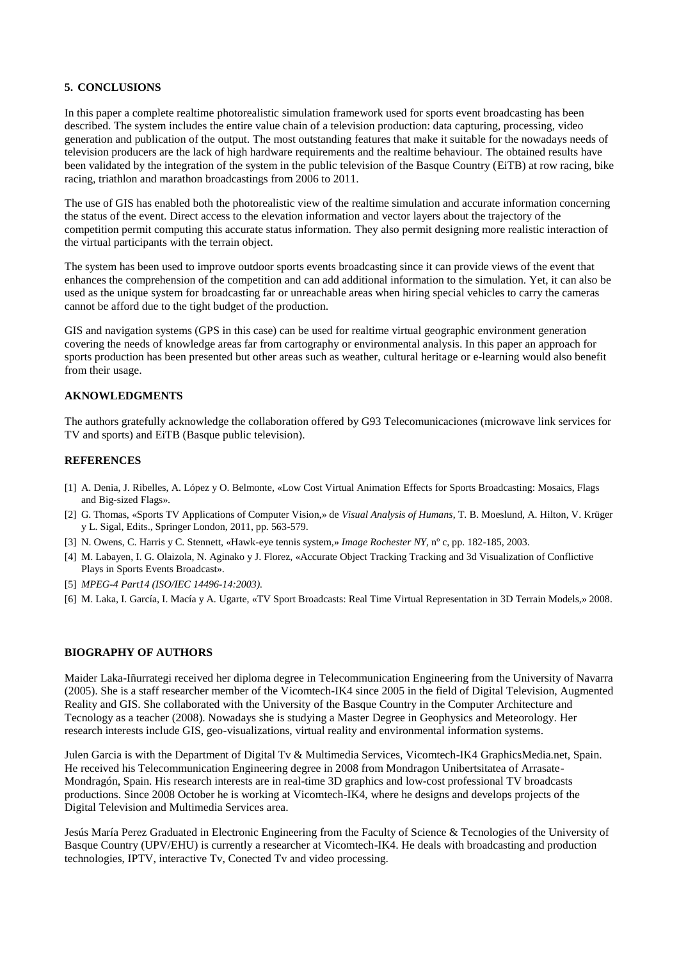#### **5. CONCLUSIONS**

In this paper a complete realtime photorealistic simulation framework used for sports event broadcasting has been described. The system includes the entire value chain of a television production: data capturing, processing, video generation and publication of the output. The most outstanding features that make it suitable for the nowadays needs of television producers are the lack of high hardware requirements and the realtime behaviour. The obtained results have been validated by the integration of the system in the public television of the Basque Country (EiTB) at row racing, bike racing, triathlon and marathon broadcastings from 2006 to 2011.

The use of GIS has enabled both the photorealistic view of the realtime simulation and accurate information concerning the status of the event. Direct access to the elevation information and vector layers about the trajectory of the competition permit computing this accurate status information. They also permit designing more realistic interaction of the virtual participants with the terrain object.

The system has been used to improve outdoor sports events broadcasting since it can provide views of the event that enhances the comprehension of the competition and can add additional information to the simulation. Yet, it can also be used as the unique system for broadcasting far or unreachable areas when hiring special vehicles to carry the cameras cannot be afford due to the tight budget of the production.

GIS and navigation systems (GPS in this case) can be used for realtime virtual geographic environment generation covering the needs of knowledge areas far from cartography or environmental analysis. In this paper an approach for sports production has been presented but other areas such as weather, cultural heritage or e-learning would also benefit from their usage.

#### **AKNOWLEDGMENTS**

The authors gratefully acknowledge the collaboration offered by G93 Telecomunicaciones (microwave link services for TV and sports) and EiTB (Basque public television).

#### **REFERENCES**

- [1] A. Denia, J. Ribelles, A. López y O. Belmonte, «Low Cost Virtual Animation Effects for Sports Broadcasting: Mosaics, Flags and Big-sized Flags».
- [2] G. Thomas, «Sports TV Applications of Computer Vision,» de *Visual Analysis of Humans*, T. B. Moeslund, A. Hilton, V. Krüger y L. Sigal, Edits., Springer London, 2011, pp. 563-579.
- [3] N. Owens, C. Harris y C. Stennett, «Hawk-eye tennis system,» *Image Rochester NY,* nº c, pp. 182-185, 2003.
- [4] M. Labayen, I. G. Olaizola, N. Aginako y J. Florez, «Accurate Object Tracking Tracking and 3d Visualization of Conflictive Plays in Sports Events Broadcast».
- [5] *MPEG-4 Part14 (ISO/IEC 14496-14:2003).*
- [6] M. Laka, I. García, I. Macía y A. Ugarte, «TV Sport Broadcasts: Real Time Virtual Representation in 3D Terrain Models,» 2008.

#### **BIOGRAPHY OF AUTHORS**

Maider Laka-Iñurrategi received her diploma degree in Telecommunication Engineering from the University of Navarra (2005). She is a staff researcher member of the Vicomtech-IK4 since 2005 in the field of Digital Television, Augmented Reality and GIS. She collaborated with the University of the Basque Country in the Computer Architecture and Tecnology as a teacher (2008). Nowadays she is studying a Master Degree in Geophysics and Meteorology. Her research interests include GIS, geo-visualizations, virtual reality and environmental information systems.

Julen Garcia is with the Department of Digital Tv & Multimedia Services, Vicomtech-IK4 GraphicsMedia.net, Spain. He received his Telecommunication Engineering degree in 2008 from Mondragon Unibertsitatea of Arrasate-Mondragón, Spain. His research interests are in real-time 3D graphics and low-cost professional TV broadcasts productions. Since 2008 October he is working at Vicomtech-IK4, where he designs and develops projects of the Digital Television and Multimedia Services area.

Jesús María Perez Graduated in Electronic Engineering from the Faculty of Science & Tecnologies of the University of Basque Country (UPV/EHU) is currently a researcher at Vicomtech-IK4. He deals with broadcasting and production technologies, IPTV, interactive Tv, Conected Tv and video processing.